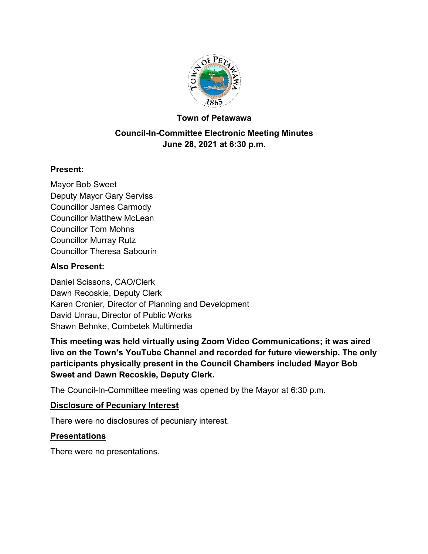

#### **Town of Petawawa**

## **Council-In-Committee Electronic Meeting Minutes June 28, 2021 at 6:30 p.m.**

## **Present:**

Mayor Bob Sweet Deputy Mayor Gary Serviss Councillor James Carmody Councillor Matthew McLean Councillor Tom Mohns Councillor Murray Rutz Councillor Theresa Sabourin

#### **Also Present:**

Daniel Scissons, CAO/Clerk Dawn Recoskie, Deputy Clerk Karen Cronier, Director of Planning and Development David Unrau, Director of Public Works Shawn Behnke, Combetek Multimedia

**This meeting was held virtually using Zoom Video Communications; it was aired live on the Town's YouTube Channel and recorded for future viewership. The only participants physically present in the Council Chambers included Mayor Bob Sweet and Dawn Recoskie, Deputy Clerk.**

The Council-In-Committee meeting was opened by the Mayor at 6:30 p.m.

#### **Disclosure of Pecuniary Interest**

There were no disclosures of pecuniary interest.

## **Presentations**

There were no presentations.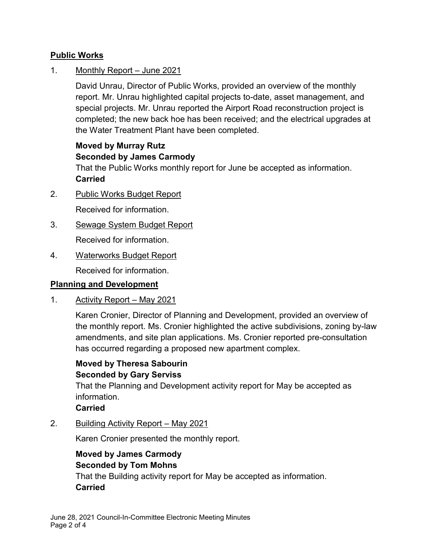## **Public Works**

1. Monthly Report – June 2021

David Unrau, Director of Public Works, provided an overview of the monthly report. Mr. Unrau highlighted capital projects to-date, asset management, and special projects. Mr. Unrau reported the Airport Road reconstruction project is completed; the new back hoe has been received; and the electrical upgrades at the Water Treatment Plant have been completed.

## **Moved by Murray Rutz Seconded by James Carmody**

That the Public Works monthly report for June be accepted as information. **Carried**

- 2. Public Works Budget Report Received for information.
- 3. Sewage System Budget Report Received for information.
- 4. Waterworks Budget Report

Received for information.

## **Planning and Development**

1. Activity Report – May 2021

Karen Cronier, Director of Planning and Development, provided an overview of the monthly report. Ms. Cronier highlighted the active subdivisions, zoning by-law amendments, and site plan applications. Ms. Cronier reported pre-consultation has occurred regarding a proposed new apartment complex.

## **Moved by Theresa Sabourin Seconded by Gary Serviss**

That the Planning and Development activity report for May be accepted as information.

**Carried**

2. Building Activity Report – May 2021

Karen Cronier presented the monthly report.

## **Moved by James Carmody Seconded by Tom Mohns**

That the Building activity report for May be accepted as information. **Carried**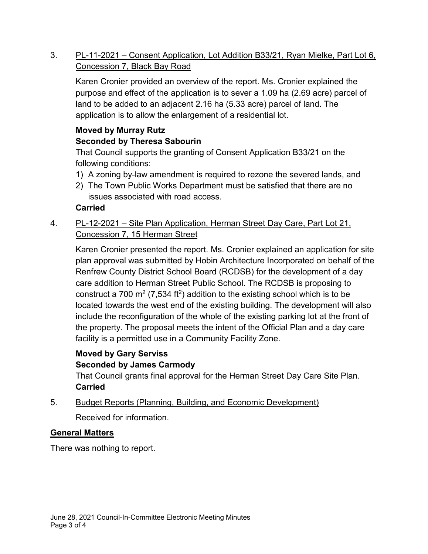3. PL-11-2021 – Consent Application, Lot Addition B33/21, Ryan Mielke, Part Lot 6, Concession 7, Black Bay Road

Karen Cronier provided an overview of the report. Ms. Cronier explained the purpose and effect of the application is to sever a 1.09 ha (2.69 acre) parcel of land to be added to an adjacent 2.16 ha (5.33 acre) parcel of land. The application is to allow the enlargement of a residential lot.

# **Moved by Murray Rutz**

## **Seconded by Theresa Sabourin**

That Council supports the granting of Consent Application B33/21 on the following conditions:

- 1) A zoning by-law amendment is required to rezone the severed lands, and
- 2) The Town Public Works Department must be satisfied that there are no issues associated with road access.

## **Carried**

4. PL-12-2021 – Site Plan Application, Herman Street Day Care, Part Lot 21, Concession 7, 15 Herman Street

Karen Cronier presented the report. Ms. Cronier explained an application for site plan approval was submitted by Hobin Architecture Incorporated on behalf of the Renfrew County District School Board (RCDSB) for the development of a day care addition to Herman Street Public School. The RCDSB is proposing to construct a 700 m<sup>2</sup> (7,534 ft<sup>2</sup>) addition to the existing school which is to be located towards the west end of the existing building. The development will also include the reconfiguration of the whole of the existing parking lot at the front of the property. The proposal meets the intent of the Official Plan and a day care facility is a permitted use in a Community Facility Zone.

## **Moved by Gary Serviss Seconded by James Carmody**

That Council grants final approval for the Herman Street Day Care Site Plan. **Carried**

5. Budget Reports (Planning, Building, and Economic Development)

Received for information.

## **General Matters**

There was nothing to report.